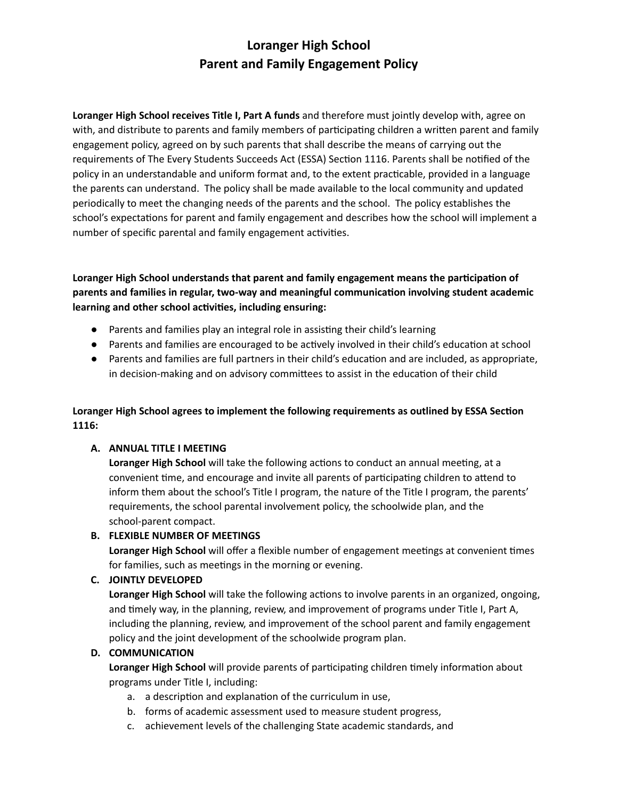# **Loranger High School Parent and Family Engagement Policy**

**Loranger High School receives Title I, Part A funds** and therefore must jointly develop with, agree on with, and distribute to parents and family members of participating children a written parent and family engagement policy, agreed on by such parents that shall describe the means of carrying out the requirements of The Every Students Succeeds Act (ESSA) Section 1116. Parents shall be notified of the policy in an understandable and uniform format and, to the extent practicable, provided in a language the parents can understand. The policy shall be made available to the local community and updated periodically to meet the changing needs of the parents and the school. The policy establishes the school's expectations for parent and family engagement and describes how the school will implement a number of specific parental and family engagement activities.

**Loranger High School understands that parent and family engagement means the parcipaon of parents** and families in regular, two-way and meaningful communication involving student academic **learning** and other school activities, including ensuring:

- Parents and families play an integral role in assisting their child's learning
- Parents and families are encouraged to be actively involved in their child's education at school
- Parents and families are full partners in their child's education and are included, as appropriate, in decision-making and on advisory committees to assist in the education of their child

## **Loranger High School agrees to implement the following requirements as outlined by ESSA Secon 1116:**

## **A. ANNUAL TITLE I MEETING**

**Loranger High School** will take the following actions to conduct an annual meeting, at a convenient time, and encourage and invite all parents of participating children to attend to inform them about the school's Title I program, the nature of the Title I program, the parents' requirements, the school parental involvement policy, the schoolwide plan, and the school-parent compact.

## **B. FLEXIBLE NUMBER OF MEETINGS**

**Loranger High School** will offer a flexible number of engagement meetings at convenient times for families, such as meetings in the morning or evening.

## **C. JOINTLY DEVELOPED**

Loranger High School will take the following actions to involve parents in an organized, ongoing, and timely way, in the planning, review, and improvement of programs under Title I, Part A, including the planning, review, and improvement of the school parent and family engagement policy and the joint development of the schoolwide program plan.

## **D. COMMUNICATION**

**Loranger High School** will provide parents of participating children timely information about programs under Title I, including:

- a. a description and explanation of the curriculum in use,
- b. forms of academic assessment used to measure student progress,
- c. achievement levels of the challenging State academic standards, and